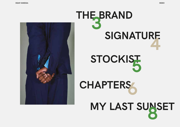

## **SIGN ATURE STOCKIST MY LAST SUNSET THE BRAND 3 4 5 8 CHAPTERS**

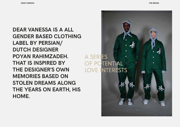**DEAR VANESSA IS A ALL GENDER BASED CLOTHING LABEL BY PERSIAN/ DUTCH DESIGNER POYAN RAHIMZADEH. THAT IS INSPIRED BY THE DESIGNER'S OWN MEMORIES BASED ON STOLEN DREAMS ALONG THE YEARS ON EARTH, HIS HOME.**

A SERIES OF POTENTIAL **LOVE INTERESTS**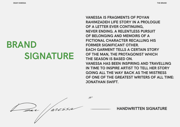## **BRAND SIGNATURE**

**VANESSA IS FRAGMENTS OF POYAN RAHIMZADEH LIFE STORY IN A PROLOGUE OF A LETTER EVER CONTINUING, NEVER ENDING. A RELENTLESS PURSUIT OF BELONGING AND MEMOIRS OF A FICTIONAL CHARACTER RECALLING HIS FORMER SIGNIFICANT OTHER. EACH GARMENT TELLS A CERTAIN STORY OF THE MAN, THE PROTAGONIST WHICH THE SEASON IS BASED ON. VANESSA HAS BEEN INSPIRING AND TRAVELLING IN TIME TO INSPIRE ARTIST TO TELL HER STORY GOING ALL THE WAY BACK AS THE MISTRESS OF ONE OF THE GREATEST WRITERS OF ALL TIME: JONATHAN SWIFT.**

 $\overline{\mathscr{L}}$  $\frac{1}{2}$ 

**HANDWRITTEN SIGNATURE**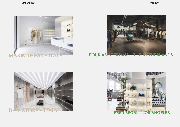





**FOUR AMSTERDAM - THE NETHERLANDS**



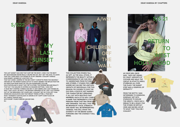

**THE LAST SUNSET WAS ONE THAT HURT ME THE MOST, I WISH YOU THE BEST! MY BACKGROUND NEVER REALLY HELPED ME OUT, BUT I SET THE GOAL TO LEAVE THAT DAY. EVER SINCE YOU PASSED BY IN MY DREAMS I COULDN'T HANDLE HOW MISERY ADORES MY LOVE FOR YOU.**

**THAT DAY WHEN I JUMPED IN THE 80'S CHEVY CORVETTE FROM THE HEAVENLY GROUND OF THE PENNSYLVANIA DUTCH TO WHAT SEEMED THE REFLECTION FOR AN ADDICTION FROM WHAT MY FELLOW PASSENGERS TOLD ME. HOLLYWOODLAND IS WHAT THEY SET IN STONE. THE PROMISE BECAME REALITY THAT DAY YOU WALKED IN OSTERIA DA MASSIMO BOTTURA. I WAS JUST A VALET BOY STARTED 2 WEEKS AGO BUT IT JUST SEEMS LIKE A DAY PASSED BY. WAS I THAT LUCKY OR WAS IT THE BIGGEST REMORSE OF MY LIFE? YOU STEPPED OUT OF THE MERCEDES C107 COUPE AND I COULDN'T GET MY EYES OFF YOUR SPARKLING GOLDLOCKS AND THAT BRIGHT TENNIS ATTIRE. A TRUE BEV! NOW I WONDER IF OUR PALAZZO DI AMORE IS MY HAPPY DARK PLACE OR MY CANDLE TAINTED HELL!**

**WITH DOUBT YOURS FOREVER AND BEYOND. ELI.** 



**AS 12FT. AS THE WALL STOOD, IT REPRESENTS THE BEAUTY WITHIN A COMMONWEALTH WE CAN ONLY TRY TO UNDERSTAND FROM PICTURES AND STORIES. IT STANDS FOR CHANGE WHERE WE CAN SEE THE LIMITLESS GROWTH OF INDIVIDUALS. FOR THIS SEASON I'VE CHOSEN TO GIVE THE OLD DDR A VOICE BY NOT NAMING THE CHARACTER BUT SPREADING IT ALL OUT WITH MULTIPLE CAST MEMBERS. EACH STYLE WILL CARRY A NAME THAT REPRESENTS A FICTIVE PERSONA FROM THAT ERA FROM 1989 AND ONWARDS. THE WALL THAT WILL BE BROKEN BY VOICE, STRENGTH AND HEART WILL BE REPRESENTING VANESSA. THIS WILL SHOW THE DIVERSITY OF THE BRAND GOING FORWARD AND THE CHANGE IT WILL BRING.**



**AS VINCE NEIL ONCE SAID: ''WE'D GET DRUNK, DO CRAZY AMOUNTS OF COCAINE AND WALK THE CIRCUIT IN STILETTO HEELS, STUMBLING ALL OVER THE PLACE. THE SUNSET STRIP WAS A CESSPOOL OF DEPRAVITY.''**

**FROM THE MOTTO I WAS DETERMINED TO SOMEHOW, SOMEWAY GET INTO STARWOOD TO IDOLISE THE GREATS. I ONCE HAD A DREAM TO BE A ROADY FOR THE STONES OR MÖTLEY CRÜE AND MAYBE LIVE UP TO WHAT THEY TOLD ME I COULDN'T.**

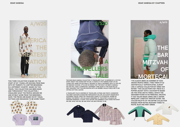

**THIS THIRD COLLECTION IS BASED ON THE START OF MY YOUNG LIFE MOVING FROM IRAN WITH MY PARENTS TO A BETTER BEGINNING IN A DIFFERENT COUNTRY. BASED ON THIS TRAVEL THIS COLLECTION HAD BEEN MADE AND THROUGHOUT THIS COLLECTION, I VISUALIZED WHAT THE PEOPLE AROUND ME AND MYSELF WORE FROM THE MEMORIES I GAVE. THE PIECES ARE BASED ON MY VISUAL OUTTAKE AND ENHANCED TO BE WORN TODAY.**





**THE SS20 DEAR VANESSA COLLECTION ''A TRAVELLER'S TALE'' IS INSPIRED BY A FICTIVE STORY ABOUT THE CHARACTER TAYLOR. IT STARTS AT THE TURNING POINT OF HIS YOUNG LIFE, WHEN TAYLOR FINALLY DECIDES TO TAKE A DIFFERENT PATH TO THE LIFE HIS SIBLINGS CHOOSE. LITTLE DID HE KNOW THAT THE NIGHT HE MEETS VANESSA, HIS LIFE WILL TAKE A COMPLETELY DIFFERENT TURN AGAIN. IF THE POOR FELLAH ONLY REALIZED THAT THIS ENCOUNTER WITH HIS JEZEBEL WOULD FORCE HIM TO BE CRYING OUT FOR A SAVIOR.**

**A TRAVELLER'S TALE IS INSPIRED BY TRAVELLERS, GYPSIES AND PIKEYS. WHENEVER YOU MEET OUR MAIN CHARACTER THROUGHOUT HIS LIFE, HE ALWAYS WEARS BOLD STATEMENT PIECES. FROM THE TRAVELLER'S CAMPS TO COTSWOLDS, WHERE HE SPENDS THE PERFECT LIFE HE ALWAYS DREAMED OF. THIS STORY IS ALWAYS AN ONGOING ROMANCE, A STORY TOLD WITHIN THE GARMENTS THAT STAND FOR WHAT WE ARE, WHAT WE WILL BE AND WHAT WE ARE STRIVING TO BE.**



**THE BAR MITZVAH OF MORTECAI A/W19**

**''I'VE ALWAYS BEEN AN ADMIRER OF HOW JEWISH PEOPLE DRESS. I FIND THEIR STYLE AESTHETICALLY SOPHISTICATED, ALMOST LIKE A CAPSULE COLLECTION BY DRIES VAN NOTEN.'' THE COLLECTION'S KEY PIECE IS A PUFFER JACKET WITH A SILHOUETTE BASED ON THE 1970S ARCTIC PARKA, WHICH THE DESIGNER FOUND IN HIS PERSONAL ARCHIVE. IT HAS TAILOR-MADE LINING AND A WATER-REPELLENT, STRETCHY RIPSTOP OUTER. THE COLOUR PALETTE OF THE ENTIRE COLLECTION RANGES FROM MUTED MUSTARD TONES TO PASTEL BLUE AND MINT GREEN.**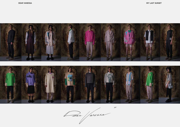

Dar / aressa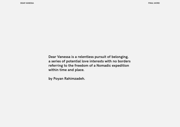**Dear Vanessa is a relentless pursuit of belonging, a series of potential love interests with no borders referring to the freedom of a Nomadic expedition within time and place.**

**by Poyan Rahimzadeh.**